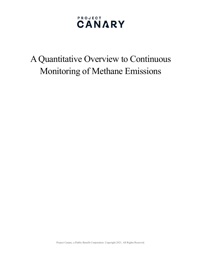# A Quantitative Overview to Continuous Monitoring of Methane Emissions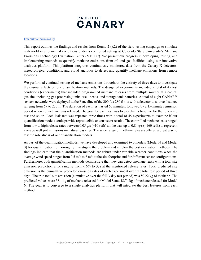### **Executive Summary**

This report outlines the findings and results from Round 2 (R2) of the field-testing campaign to simulate real-world environmental conditions under a controlled setting at Colorado State University's Methane Emissions Technology Evaluation Center (METEC). We present our progress in developing, testing, and implementing methods to quantify methane emissions from oil and gas facilities using our innovative analytics platform. This platform integrates continuously monitored data from the Canary X detectors, meteorological conditions, and cloud analytics to detect and quantify methane emissions from remote locations.

We performed continual testing of methane emissions throughout the entirety of three days to investigate the diurnal effects on our quantification methods. The design of experiments included a total of 45 test conditions (experiments) that included programmed methane releases from multiple sources at a natural gas site, including gas processing units, well heads, and storage tank batteries. A total of eight CANARY sensors networks were deployed at the Fenceline of the 200 ft x 280 ft site with a detector to source distance ranging from 69 to 230 ft. The duration of each test lasted 60 minutes, followed by a 15-minute remission period when no methane was released. The goal for each test was to establish a baseline for the following test and so on. Each leak rate was repeated three times with a total of 45 experiments to examine if our quantification models could provide reproducible or consistent results. The controlled methane leaks ranged from low to high release rates between 0.05 g/s ( $\sim$ 10 scfh) all the way up to 0.84 g/s ( $\sim$ 160 scfh) to represent average well pad emissions on natural gas sites. The wide range of methane releases offered a great way to test the robustness of our quantification models.

As part of the quantification methods, we have developed and examined two models (Model N and Model S) for quantification to thoroughly investigate the problem and employ the best evaluation methods. The findings indicate that the quantification methods are robust under variable weather conditions when the average wind speed ranges from 0.5 m/s to 6 m/s at the site footprint and for different sensor configurations. Furthermore, both quantification methods demonstrate that they can detect methane leaks with a total site emission prediction error ranging from -16% to 3% at the mentioned release rates. Total predicted site emission is the cumulative predicted emission rates of each experiment over the total test period of three days. The true total site emission (cumulative over the full 3-day test period) was 50.22 kg of methane. The predicted values were 58.1 kg of methane released for Model S and 48.74 kg of methane released for Model N. The goal is to converge to a single analytics platform that will integrate the best features from each method.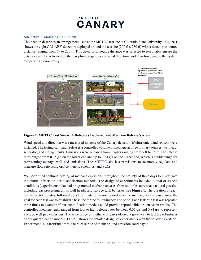### **Site Setup: Cataloging Equipment**

This section describes an arrangement used at the METEC test site at Colorado State University. **Figure 1** shows the eight CANARY detectors deployed around the test site (200 ft x 280 ft) with a detector to source distance ranging from 69 to 230 ft. This detector-to-source distance was selected to reasonably ensure the detectors will be activated by the gas plume regardless of wind direction, and therefore, enable the system to operate autonomously.



### **Figure 1. METEC Test Site with Detectors Deployed and Methane Release System**

Wind speed and direction were measured in some of the Canary detectors if ultrasonic wind sensors were installed. The testing campaign releases a controlled volume of methane at three primary sources: wellhead, separator, and storage tanks. Emissions were released from heights ranging from 5 ft to 15 ft. The release rates ranged from 0.05 g/s on the lower end and up to 0.84 g/s on the higher end, which is a wide range for representing average well pad emissions. The METEC site has provisions to accurately regulate and measure flow rate using orifice meters, solenoids, and PLCs.

We performed continual testing of methane emissions throughout the entirety of three days to investigate the diurnal effects on our quantification methods. The design of experiments included a total of 45 test conditions (experiments) that had programmed methane releases from multiple sources at a natural gas site, including gas processing units, well heads, and storage tank batteries; see **Figure 1**. The duration of each test lasted 60 minutes, followed by a 15-minute remission period when no methane was released since the goal for each test was to establish a baseline for the following test and so on. Each leak rate test was repeated three times to examine if our quantification models could provide reproducible or consistent results. The controlled methane leaks ranged from low to high release rates between 0.05 g/s and 0.84 g/s to represent average well pad emissions. The wide range of methane releases offered a great way to test the robustness of our quantification models. **Table 1** shows the detailed design of experiments with the following criteria: Experiment ID, Start/End times, the release rate of methane, and emission source type.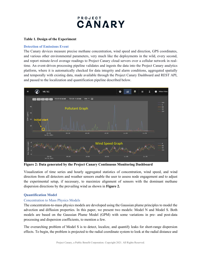#### **Table 1. Design of the Experiment**

#### **Detection of Emissions Event**

The Canary devices measure precise methane concentration, wind speed and direction, GPS coordinates, and various other environmental parameters, very much like the deployments in the wild, every second, and report minute-level average readings to Project Canary cloud servers over a cellular network in realtime. An event-driven processing pipeline validates and ingests the data into the Project Canary analytics platform, where it is automatically checked for data integrity and alarm conditions, aggregated spatially and temporally with existing data, made available through the Project Canary Dashboard and REST API, and passed to the localization and quantification pipeline described below.



**Figure 2: Data generated by the Project Canary Continuous Monitoring Dashboard**

Visualization of time series and hourly aggregated statistics of concentration, wind speed, and wind direction from all detectors and weather sensors enable the user to assess node engagement and to adjust the experimental setup, if necessary, to maximize alignment of sensors with the dominant methane dispersion directions by the prevailing wind as shown in **Figure 2.**

### **Quantification Model**

#### Concentration to Mass Physics Models

The concentration-to-mass physics models are developed using the Gaussian plume principles to model the advection and diffusion properties. In this paper, we present two models: Model N and Model S. Both models are based on the Gaussian Plume Model (GPM) with some variations in pre- and post-data processing and dispersion coefficients, to mention a few.

The overarching problem of Model S is to detect, localize, and quantify leaks for short-range dispersion effects. To begin, the problem is projected to the radial coordinate system to look at the radial distance and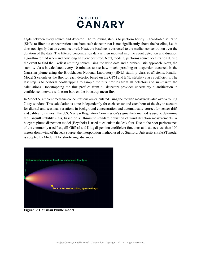angle between every source and detector. The following step is to perform hourly Signal-to-Noise Ratio (SNR) to filter out concentration data from each detector that is not significantly above the baseline, i.e., it does not signify that an event occurred. Next, the baseline is corrected to the median concentration over the duration of the data. The filtered concentration data is then inputted into the event detection and duration algorithm to find when and how long an event occurred. Next, model S performs source localization during the event to find the likeliest emitting source using the wind data and a probabilistic approach. Next, the stability class is calculated every 10 minutes to see how much spreading or dispersion occurred in the Gaussian plume using the Brookhaven National Laboratory (BNL) stability class coefficients. Finally, Model S calculates the flux for each detector based on the GPM and BNL stability class coefficients. The last step is to perform bootstrapping to sample the flux profiles from all detectors and summarize the calculations. Bootstrapping the flux profiles from all detectors provides uncertainty quantification in confidence intervals with error bars on the bootstrap mean flux.

In Model N, ambient methane concentrations are calculated using the median measured value over a rolling 7-day window. This calculation is done independently for each sensor and each hour of the day to account for diurnal and seasonal variations in background concentration and automatically correct for sensor drift and calibration errors. The U.S. Nuclear Regulatory Commission's sigma theta method is used to determine the Pasquill stability class, based on a 10-minute standard deviation of wind direction measurements. A buoyant plume dispersion model (Beychok) is used to calculate the leak flux. Due to the poor performance of the commonly used Pasquill-Gifford and Klug dispersion coefficient functions at distances less than 100 meters downwind of the leak source, the interpolation method used by Stanford University's FEAST model is adopted by Model N for short-range distances.



**Figure 3: Gaussian Plume model**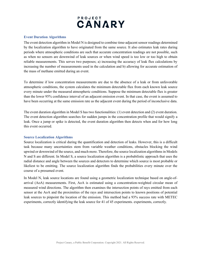

#### **Event Duration Algorithms**

The event detection algorithm in Model N is designed to combine time-adjacent sensor readings determined by the localization algorithm to have originated from the same source. It also estimates leak rates during periods where atmospheric conditions are such that accurate concentration readings are not possible, such as when no sensors are downwind of leak sources or when wind speed is too low or too high to obtain reliable measurements. This serves two purposes; a) increasing the accuracy of leak flux calculations by increasing the number of measurements used in the calculation and b) allowing for accurate estimation of the mass of methane emitted during an event.

To determine if low concentration measurements are due to the absence of a leak or from unfavorable atmospheric conditions, the system calculates the minimum detectable flux from each known leak source every minute under the measured atmospheric conditions. Suppose the minimum detectable flux is greater than the lower 95% confidence interval of an adjacent emission event. In that case, the event is assumed to have been occurring at the same emission rate as the adjacent event during the period of inconclusive data.

The event duration algorithm in Model S has two functionalities: (1) event detection and (2) event duration. The event detection algorithm searches for sudden jumps in the concentration profile that would signify a leak. Once a jump or spike is detected, the event duration algorithm then detects when and for how long this event occurred.

#### **Source Localization Algorithms**

Source localization is critical during the quantification and detection of leaks. However, this is a difficult task because many uncertainties stem from variable weather conditions, obstacles blocking the wind upwind or downwind of the source, and much more. Therefore, the source localization algorithms in Models N and S are different. In Model S, a source localization algorithm is a probabilistic approach that uses the radial distance and angle between the sources and detectors to determine which source is most probable or likeliest to be emitting. The source localization algorithm finds the probabilities every minute over the course of a presumed event.

In Model N, leak source locations are found using a geometric localization technique based on angle-ofarrival (AoA) measurements. First, AoA is estimated using a concentration-weighted circular mean of measured wind directions. The algorithm then examines the intersection points of rays emitted from each sensor at the AoA and the proximities of the rays and intersection points to known positions of potential leak sources to pinpoint the location of the emission. This method had a 93% success rate with METEC experiments, correctly identifying the leak source for 41 of 45 experiments. experiments, correctly.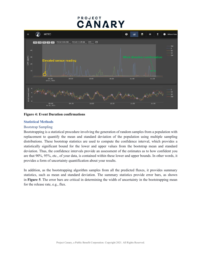

**Figure 4: Event Duration confirmations**

### **Statistical Methods**

### Bootstrap Sampling

Bootstrapping is a statistical procedure involving the generation of random samples from a population with replacement to quantify the mean and standard deviation of the population using multiple sampling distributions. These bootstrap statistics are used to compute the confidence interval, which provides a statistically significant bound for the lower and upper values from the bootstrap mean and standard deviation. Thus, the confidence intervals provide an assessment of the estimates as to how confident you are that 90%, 95%, etc., of your data, is contained within these lower and upper bounds. In other words, it provides a form of uncertainty quantification about your results.

In addition, as the bootstrapping algorithm samples from all the predicted fluxes, it provides summary statistics, such as mean and standard deviation. The summary statistics provide error bars, as shown in **Figure 5**. The error bars are critical in determining the width of uncertainty in the bootstrapping mean for the release rate, e.g., flux.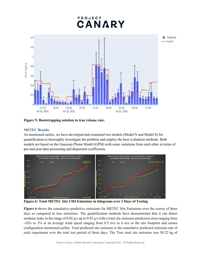

**Figure 5: Bootstrapping solution to true release rate.** 

### **METEC Results**

As mentioned earlier, we have developed and examined two models (Model N and Model S) for quantification to thoroughly investigate the problem and employ the best evaluation methods. Both models are based on the Gaussian Plume Model (GPM) with some variations from each other in terms of pre-and post-data processing and dispersion coefficients.



**Figure 6: Total METEC Site CH4 Emissions in kilograms over 3 Days of Testing**

**Figure 6** shows the cumulative predictive emissions for METEC Site Emissions over the course of three days as compared to true emissions. The quantification methods have demonstrated that it can detect methane leaks in the range of 0.05 g/s up to 0.85 g/s with a total site emission prediction error ranging from -16% to 3% at an average wind speed ranging from 0.5 m/s to 6 m/s at the site footprint and sensor configuration mentioned earlier. Total predicted site emission is the cumulative predicted emission rate of each experiment over the total test period of three days. The True total site emission was 50.22 kg of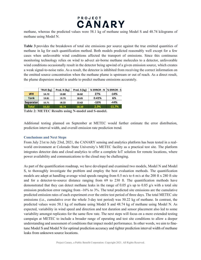

methane, whereas the predicted values were 58.1 kg of methane using Model S and 48.74 kilograms of methane using Model N.

**Table 3** provides the breakdown of total site emissions per source against the true emitted quantities of methane in kg for each quantification method. Both models predicted reasonably well except for a few cases when unfavorable wind conditions affected the transport of emissions. Since this continuous monitoring technology relies on wind to advect air-borne methane molecules to a detector, unfavorable wind conditions occasionally result in the detector being upwind of a given emission source, which creates a weak signal-to-noise ratio. As a result, the detector is inhibited from receiving the correct information on the emitted source concentration when the methane plume is upstream or out of reach. As a direct result, the plume dispersion model is unable to predict methane emissions accurately.

|              | TRUE (kg) | Pred. N (kg) | Pred. S (kg) | % ERROR - N  % ERROR - S |          |
|--------------|-----------|--------------|--------------|--------------------------|----------|
| <b>WH</b>    | 14.70     | 10.80        | 16.82        | 27%                      | $-14%$   |
| <b>Tank</b>  | 19.81     | 19.73        | 18.65        | 0.41%                    | 6%       |
| Separator    | 15.71     | 18.22        | 22.62        | $-16%$                   | $-44%$   |
| <b>Total</b> | 50.22     | 48.74        | 58.10        | 2.9%                     | $-15.7%$ |

**Table 2: METEC Results using N-model and S-model.**

Additional testing planned on September at METEC would further estimate the error distribution, prediction interval width, and overall emission rate prediction trend.

#### **Conclusions and Next Steps**

From July 21st to July 23rd, 2021, the CANARY sensing and analytics platform has been tested in a realworld environment at Colorado State University's METEC facility as a practical test site. The platform integrates detector data and cloud analytics to offer a complete IoT solution for remote locations, where power availability and communications to the cloud may be challenging.

As part of the quantification roadmap, we have developed and examined two models, Model N and Model S, to thoroughly investigate the problem and employ the best evaluation methods. The quantification models are adept at handling average wind speeds ranging from 0.5 m/s to 6 m/s at the 200 ft x 280 ft site and for a detector-to-source distance ranging from 69 to 230 ft. The quantification methods have demonstrated that they can detect methane leaks in the range of 0.05 g/s up to 0.85 g/s with a total site emission prediction error ranging from -16% to 3%. The total predicted site emissions are the cumulative predicted emission rates of each experiment over the entire test period of three days. The total METEC site emissions (i.e., cumulative over the whole 3-day test period) was 50.22 kg of methane. In contrast, the predicted values were 58.1 kg of methane using Model S and 48.74 kg of methane using Model N. As expected, variability in wind speed and direction and test duration and sensor placement also led to some variability amongst replicates for the same flow rate. The next steps will focus on a more extended testing campaign at METEC to include a broader range of operating and test site conditions to allow a deeper understanding and assessment of conditions that impact model performance. In other words, we aim to finetune Model S and Model N for optimal prediction accuracy and tighter prediction interval width of methane leaks from unknown source locations.